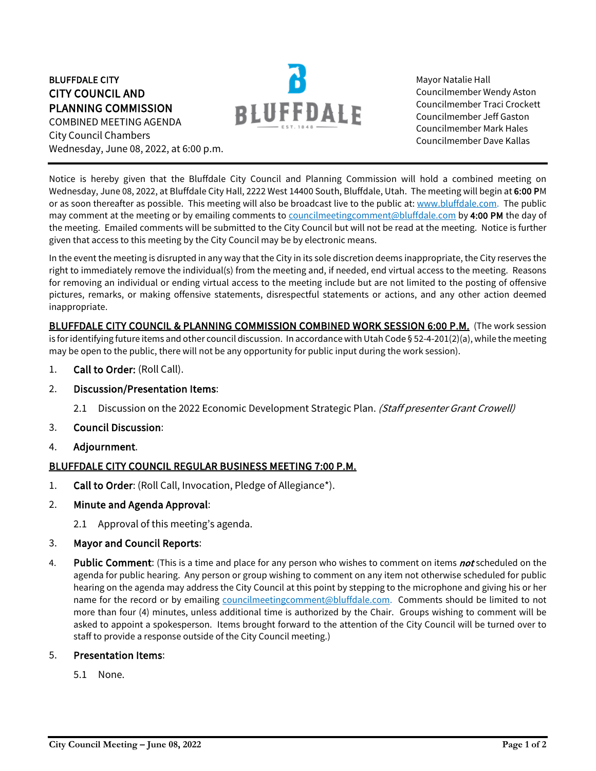### BLUFFDALE CITY CITY COUNCIL AND PLANNING COMMISSION COMBINED MEETING AGENDA

City Council Chambers Wednesday, June 08, 2022, at 6:00 p.m.



Mayor Natalie Hall Councilmember Wendy Aston Councilmember Traci Crockett Councilmember Jeff Gaston Councilmember Mark Hales Councilmember Dave Kallas

Notice is hereby given that the Bluffdale City Council and Planning Commission will hold a combined meeting on Wednesday, June 08, 2022, at Bluffdale City Hall, 2222 West 14400 South, Bluffdale, Utah. The meeting will begin at 6:00 PM or as soon thereafter as possible. This meeting will also be broadcast live to the public at[: www.bluffdale.com.](http://www.bluffdale.com/) The public may comment at the meeting or by emailing comments t[o councilmeetingcomment@bluffdale.com](mailto:councilmeetingcomment@bluffdale.com) by 4:00 PM the day of the meeting. Emailed comments will be submitted to the City Council but will not be read at the meeting. Notice is further given that access to this meeting by the City Council may be by electronic means.

In the event the meeting is disrupted in any way that the City in its sole discretion deems inappropriate, the City reserves the right to immediately remove the individual(s) from the meeting and, if needed, end virtual access to the meeting. Reasons for removing an individual or ending virtual access to the meeting include but are not limited to the posting of offensive pictures, remarks, or making offensive statements, disrespectful statements or actions, and any other action deemed inappropriate.

BLUFFDALE CITY COUNCIL & PLANNING COMMISSION COMBINED WORK SESSION 6:00 P.M. (The work session is for identifying future items and other council discussion. In accordance with Utah Code § 52-4-201(2)(a), while the meeting may be open to the public, there will not be any opportunity for public input during the work session).

- 1. Call to Order: (Roll Call).
- 2. Discussion/Presentation Items:
	- 2.1 Discussion on the 2022 Economic Development Strategic Plan. (Staff presenter Grant Crowell)
- 3. Council Discussion:
- 4. Adjournment.

# BLUFFDALE CITY COUNCIL REGULAR BUSINESS MEETING 7:00 P.M.

- 1. Call to Order: (Roll Call, Invocation, Pledge of Allegiance\*).
- 2. Minute and Agenda Approval:
	- 2.1 Approval of this meeting's agenda.

#### 3. Mayor and Council Reports:

4. Public Comment: (This is a time and place for any person who wishes to comment on items not scheduled on the agenda for public hearing. Any person or group wishing to comment on any item not otherwise scheduled for public hearing on the agenda may address the City Council at this point by stepping to the microphone and giving his or her name for the record or by emailing [councilmeetingcomment@bluffdale.com.](mailto:councilmeetingcomment@bluffdale.com) Comments should be limited to not more than four (4) minutes, unless additional time is authorized by the Chair. Groups wishing to comment will be asked to appoint a spokesperson. Items brought forward to the attention of the City Council will be turned over to staff to provide a response outside of the City Council meeting.)

#### 5. Presentation Items:

5.1 None.